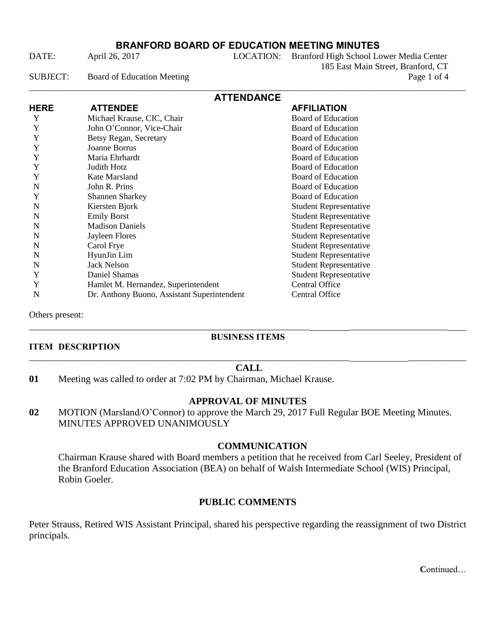DATE: April 26, 2017 LOCATION: Branford High School Lower Media Center 185 East Main Street, Branford, CT SUBJECT: Board of Education Meeting Page 1 of 4 \_\_\_\_\_\_\_\_\_\_\_\_\_\_\_\_\_\_\_\_\_\_\_\_\_\_\_\_\_\_\_\_\_\_\_\_\_\_\_\_\_\_\_\_\_\_\_\_\_\_\_\_\_\_\_\_\_\_\_\_\_\_\_\_\_\_\_\_\_\_\_\_\_\_\_\_\_\_\_\_\_\_\_\_\_\_\_\_\_\_\_\_\_\_\_\_\_\_

|             | <b>ATTENDANCE</b>                           |                               |
|-------------|---------------------------------------------|-------------------------------|
| <b>HERE</b> | <b>ATTENDEE</b>                             | <b>AFFILIATION</b>            |
| Y           | Michael Krause, CIC, Chair                  | <b>Board of Education</b>     |
| Y           | John O'Connor, Vice-Chair                   | <b>Board of Education</b>     |
| Y           | Betsy Regan, Secretary                      | <b>Board of Education</b>     |
| Y           | <b>Joanne Borrus</b>                        | <b>Board of Education</b>     |
| Y           | Maria Ehrhardt                              | <b>Board of Education</b>     |
| Y           | Judith Hotz                                 | <b>Board of Education</b>     |
| Y           | Kate Marsland                               | <b>Board of Education</b>     |
| N           | John R. Prins                               | <b>Board of Education</b>     |
| Y           | <b>Shannen Sharkey</b>                      | <b>Board of Education</b>     |
| N           | Kiersten Bjork                              | <b>Student Representative</b> |
| N           | <b>Emily Borst</b>                          | <b>Student Representative</b> |
| N           | <b>Madison Daniels</b>                      | <b>Student Representative</b> |
| N           | Jayleen Flores                              | <b>Student Representative</b> |
| N           | Carol Frye                                  | <b>Student Representative</b> |
| N           | HyunJin Lim                                 | <b>Student Representative</b> |
| N           | Jack Nelson                                 | <b>Student Representative</b> |
| Y           | Daniel Shamas                               | <b>Student Representative</b> |
| Y           | Hamlet M. Hernandez, Superintendent         | Central Office                |
| N           | Dr. Anthony Buono, Assistant Superintendent | Central Office                |

Others present:

## **BUSINESS ITEMS**

\_\_\_\_\_\_\_\_\_\_\_\_\_\_\_\_\_\_\_\_\_\_\_\_\_\_\_\_\_\_\_\_\_\_\_\_\_\_\_\_\_\_\_\_\_\_\_\_\_\_\_\_\_\_\_\_\_\_\_\_\_\_\_ \_\_\_\_\_\_\_\_\_\_\_\_\_\_\_\_\_\_\_\_\_\_

## **ITEM DESCRIPTION** \_\_\_\_\_\_\_\_\_\_\_\_\_\_\_\_\_\_\_\_\_\_\_\_\_\_\_\_\_\_\_\_\_\_\_\_\_\_\_\_\_\_\_\_\_\_\_\_\_\_\_\_\_\_\_\_\_\_\_\_\_\_\_\_\_\_\_\_\_\_\_\_ \_\_\_\_\_\_\_\_\_\_\_\_\_

## **CALL**

**01** Meeting was called to order at 7:02 PM by Chairman, Michael Krause.

# **APPROVAL OF MINUTES**

**02** MOTION (Marsland/O'Connor) to approve the March 29, 2017 Full Regular BOE Meeting Minutes. MINUTES APPROVED UNANIMOUSLY

# **COMMUNICATION**

Chairman Krause shared with Board members a petition that he received from Carl Seeley, President of the Branford Education Association (BEA) on behalf of Walsh Intermediate School (WIS) Principal, Robin Goeler.

# **PUBLIC COMMENTS**

Peter Strauss, Retired WIS Assistant Principal, shared his perspective regarding the reassignment of two District principals.

**C**ontinued…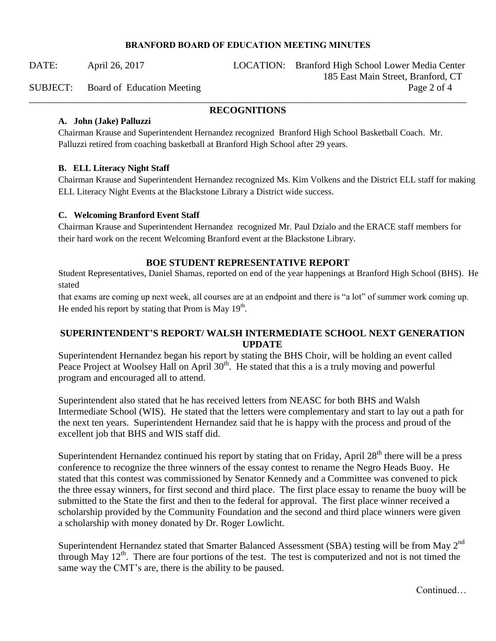DATE: April 26, 2017 LOCATION: Branford High School Lower Media Center 185 East Main Street, Branford, CT SUBJECT: Board of Education Meeting Page 2 of 4

## \_\_\_\_\_\_\_\_\_\_\_\_\_\_\_\_\_\_\_\_\_\_\_\_\_\_\_\_\_\_\_\_\_\_\_\_\_\_\_\_\_\_\_\_\_\_\_\_\_\_\_\_\_\_\_\_\_\_\_\_\_\_\_\_\_\_\_\_\_\_\_\_\_\_\_\_\_\_\_\_\_\_\_\_\_\_\_\_\_\_ **RECOGNITIONS**

## **A. John (Jake) Palluzzi**

Chairman Krause and Superintendent Hernandez recognized Branford High School Basketball Coach. Mr. Palluzzi retired from coaching basketball at Branford High School after 29 years.

## **B. ELL Literacy Night Staff**

Chairman Krause and Superintendent Hernandez recognized Ms. Kim Volkens and the District ELL staff for making ELL Literacy Night Events at the Blackstone Library a District wide success.

## **C. Welcoming Branford Event Staff**

Chairman Krause and Superintendent Hernandez recognized Mr. Paul Dzialo and the ERACE staff members for their hard work on the recent Welcoming Branford event at the Blackstone Library.

# **BOE STUDENT REPRESENTATIVE REPORT**

Student Representatives, Daniel Shamas, reported on end of the year happenings at Branford High School (BHS). He stated

that exams are coming up next week, all courses are at an endpoint and there is "a lot" of summer work coming up. He ended his report by stating that Prom is May  $19<sup>th</sup>$ .

# **SUPERINTENDENT'S REPORT/ WALSH INTERMEDIATE SCHOOL NEXT GENERATION UPDATE**

Superintendent Hernandez began his report by stating the BHS Choir, will be holding an event called Peace Project at Woolsey Hall on April  $30<sup>th</sup>$ . He stated that this a is a truly moving and powerful program and encouraged all to attend.

Superintendent also stated that he has received letters from NEASC for both BHS and Walsh Intermediate School (WIS). He stated that the letters were complementary and start to lay out a path for the next ten years. Superintendent Hernandez said that he is happy with the process and proud of the excellent job that BHS and WIS staff did.

Superintendent Hernandez continued his report by stating that on Friday, April 28<sup>th</sup> there will be a press conference to recognize the three winners of the essay contest to rename the Negro Heads Buoy. He stated that this contest was commissioned by Senator Kennedy and a Committee was convened to pick the three essay winners, for first second and third place. The first place essay to rename the buoy will be submitted to the State the first and then to the federal for approval. The first place winner received a scholarship provided by the Community Foundation and the second and third place winners were given a scholarship with money donated by Dr. Roger Lowlicht.

Superintendent Hernandez stated that Smarter Balanced Assessment (SBA) testing will be from May  $2^{nd}$ through May  $12<sup>th</sup>$ . There are four portions of the test. The test is computerized and not is not timed the same way the CMT's are, there is the ability to be paused.

Continued…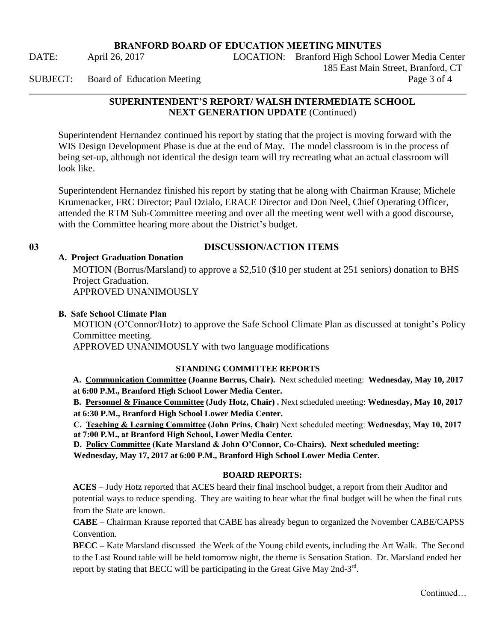\_\_\_\_\_\_\_\_\_\_\_\_\_\_\_\_\_\_\_\_\_\_\_\_\_\_\_\_\_\_\_\_\_\_\_\_\_\_\_\_\_\_\_\_\_\_\_\_\_\_\_\_\_\_\_\_\_\_\_\_\_\_\_\_\_\_\_\_\_\_\_\_\_\_\_\_\_\_\_\_\_\_\_\_\_\_\_\_\_\_

DATE: April 26, 2017 LOCATION: Branford High School Lower Media Center 185 East Main Street, Branford, CT SUBJECT: Board of Education Meeting Page 3 of 4

# **SUPERINTENDENT'S REPORT/ WALSH INTERMEDIATE SCHOOL NEXT GENERATION UPDATE** (Continued)

Superintendent Hernandez continued his report by stating that the project is moving forward with the WIS Design Development Phase is due at the end of May. The model classroom is in the process of being set-up, although not identical the design team will try recreating what an actual classroom will look like.

Superintendent Hernandez finished his report by stating that he along with Chairman Krause; Michele Krumenacker, FRC Director; Paul Dzialo, ERACE Director and Don Neel, Chief Operating Officer, attended the RTM Sub-Committee meeting and over all the meeting went well with a good discourse, with the Committee hearing more about the District's budget.

# **03 DISCUSSION/ACTION ITEMS**

## **A. Project Graduation Donation**

MOTION (Borrus/Marsland) to approve a \$2,510 (\$10 per student at 251 seniors) donation to BHS Project Graduation. APPROVED UNANIMOUSLY

## **B. Safe School Climate Plan**

MOTION (O'Connor/Hotz) to approve the Safe School Climate Plan as discussed at tonight's Policy Committee meeting.

APPROVED UNANIMOUSLY with two language modifications

## **STANDING COMMITTEE REPORTS**

**A. Communication Committee (Joanne Borrus, Chair).** Next scheduled meeting: **Wednesday, May 10, 2017 at 6:00 P.M., Branford High School Lower Media Center.** 

**B. Personnel & Finance Committee (Judy Hotz, Chair) .** Next scheduled meeting: **Wednesday, May 10, 2017 at 6:30 P.M., Branford High School Lower Media Center.** 

**C. Teaching & Learning Committee (John Prins, Chair)** Next scheduled meeting: **Wednesday, May 10, 2017 at 7:00 P.M., at Branford High School, Lower Media Center.** 

**D. Policy Committee (Kate Marsland & John O'Connor, Co-Chairs). Next scheduled meeting:** 

**Wednesday, May 17, 2017 at 6:00 P.M., Branford High School Lower Media Center.** 

## **BOARD REPORTS:**

**ACES** – Judy Hotz reported that ACES heard their final inschool budget, a report from their Auditor and potential ways to reduce spending. They are waiting to hear what the final budget will be when the final cuts from the State are known.

**CABE** – Chairman Krause reported that CABE has already begun to organized the November CABE/CAPSS Convention.

**BECC –** Kate Marsland discussed the Week of the Young child events, including the Art Walk. The Second to the Last Round table will be held tomorrow night, the theme is Sensation Station. Dr. Marsland ended her report by stating that BECC will be participating in the Great Give May 2nd-3<sup>rd</sup>.

**Continued**